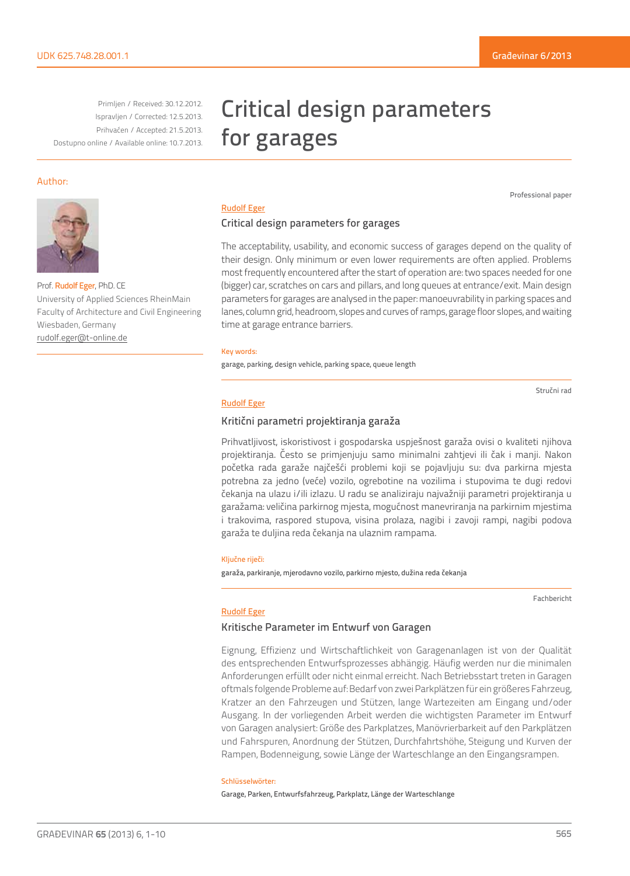Primljen / Received: 30.12.2012. Ispravljen / Corrected: 12.5.2013. Prihvaćen / Accepted: 21.5.2013. Dostupno online / Available online: 10.7.2013.

## Author:



Prof. Rudolf Eger, PhD. CE University of Applied Sciences RheinMain Faculty of Architecture and Civil Engineering Wiesbaden, Germany rudolf.eger@t-online.de

# Critical design parameters for garages

Professional paper

## Rudolf Eger

## Critical design parameters for garages

The acceptability, usability, and economic success of garages depend on the quality of their design. Only minimum or even lower requirements are often applied. Problems most frequently encountered after the start of operation are: two spaces needed for one (bigger) car, scratches on cars and pillars, and long queues at entrance/exit. Main design parameters for garages are analysed in the paper: manoeuvrability in parking spaces and lanes, column grid, headroom, slopes and curves of ramps, garage floor slopes, and waiting time at garage entrance barriers.

#### Key words:

garage, parking, design vehicle, parking space, queue length

Stručni rad

#### Rudolf Eger

## Kritični parametri projektiranja garaža

Prihvatljivost, iskoristivost i gospodarska uspješnost garaža ovisi o kvaliteti njihova projektiranja. Često se primjenjuju samo minimalni zahtjevi ili čak i manji. Nakon početka rada garaže najčešći problemi koji se pojavljuju su: dva parkirna mjesta potrebna za jedno (veće) vozilo, ogrebotine na vozilima i stupovima te dugi redovi čekanja na ulazu i/ili izlazu. U radu se analiziraju najvažniji parametri projektiranja u garažama: veličina parkirnog mjesta, mogućnost manevriranja na parkirnim mjestima i trakovima, raspored stupova, visina prolaza, nagibi i zavoji rampi, nagibi podova garaža te duljina reda čekanja na ulaznim rampama.

#### Ključne riječi:

garaža, parkiranje, mjerodavno vozilo, parkirno mjesto, dužina reda čekanja

Fachbericht

## Rudolf Eger

## Kritische Parameter im Entwurf von Garagen

Eignung, Effizienz und Wirtschaftlichkeit von Garagenanlagen ist von der Qualität des entsprechenden Entwurfsprozesses abhängig. Häufig werden nur die minimalen Anforderungen erfüllt oder nicht einmal erreicht. Nach Betriebsstart treten in Garagen oftmals folgende Probleme auf: Bedarf von zwei Parkplätzen für ein größeres Fahrzeug, Kratzer an den Fahrzeugen und Stützen, lange Wartezeiten am Eingang und/oder Ausgang. In der vorliegenden Arbeit werden die wichtigsten Parameter im Entwurf von Garagen analysiert: Größe des Parkplatzes, Manövrierbarkeit auf den Parkplätzen und Fahrspuren, Anordnung der Stützen, Durchfahrtshöhe, Steigung und Kurven der Rampen, Bodenneigung, sowie Länge der Warteschlange an den Eingangsrampen.

#### Schlüsselwörter:

Garage, Parken, Entwurfsfahrzeug, Parkplatz, Länge der Warteschlange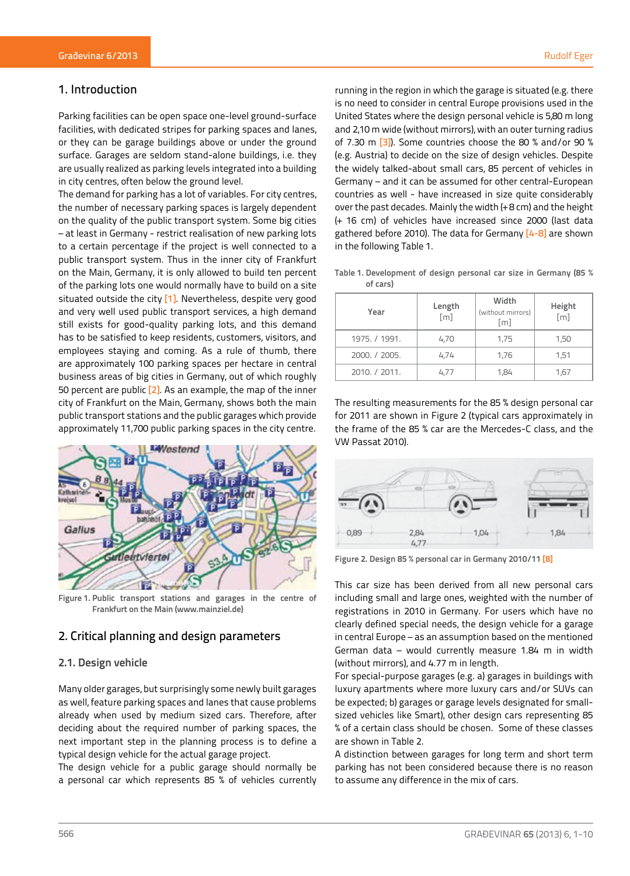# 1. Introduction

Parking facilities can be open space one-level ground-surface facilities, with dedicated stripes for parking spaces and lanes, or they can be garage buildings above or under the ground surface. Garages are seldom stand-alone buildings, i.e. they are usually realized as parking levels integrated into a building in city centres, often below the ground level.

The demand for parking has a lot of variables. For city centres, the number of necessary parking spaces is largely dependent on the quality of the public transport system. Some big cities – at least in Germany - restrict realisation of new parking lots to a certain percentage if the project is well connected to a public transport system. Thus in the inner city of Frankfurt on the Main, Germany, it is only allowed to build ten percent of the parking lots one would normally have to build on a site situated outside the city [1]. Nevertheless, despite very good and very well used public transport services, a high demand still exists for good-quality parking lots, and this demand has to be satisfied to keep residents, customers, visitors, and employees staying and coming. As a rule of thumb, there are approximately 100 parking spaces per hectare in central business areas of big cities in Germany, out of which roughly 50 percent are public  $[2]$ . As an example, the map of the inner city of Frankfurt on the Main, Germany, shows both the main public transport stations and the public garages which provide approximately 11,700 public parking spaces in the city centre.



**Figure 1. Public transport stations and garages in the centre of Frankfurt on the Main (www.mainziel.de)**

# 2. Critical planning and design parameters

## **2.1. Design vehicle**

Many older garages, but surprisingly some newly built garages as well, feature parking spaces and lanes that cause problems already when used by medium sized cars. Therefore, after deciding about the required number of parking spaces, the next important step in the planning process is to define a typical design vehicle for the actual garage project.

The design vehicle for a public garage should normally be a personal car which represents 85 % of vehicles currently

running in the region in which the garage is situated (e.g. there is no need to consider in central Europe provisions used in the United States where the design personal vehicle is 5,80 m long and 2,10 m wide (without mirrors), with an outer turning radius of 7.30 m [3]). Some countries choose the 80 % and/or 90 % (e.g. Austria) to decide on the size of design vehicles. Despite the widely talked-about small cars, 85 percent of vehicles in Germany – and it can be assumed for other central-European countries as well - have increased in size quite considerably over the past decades. Mainly the width (+ 8 cm) and the height (+ 16 cm) of vehicles have increased since 2000 (last data gathered before 2010). The data for Germany [4-8] are shown in the following Table 1.

| Table 1. Development of design personal car size in Germany (85 % |  |  |  |  |
|-------------------------------------------------------------------|--|--|--|--|
| of cars)                                                          |  |  |  |  |

| Year          | Length<br>$\lceil m \rceil$ | Width<br>(without mirrors)<br>[m] | Height<br>[m] |  |
|---------------|-----------------------------|-----------------------------------|---------------|--|
| 1975. / 1991. | 4,70                        | 1.75                              | 1,50          |  |
| 2000. / 2005. | 4.74                        | 1,76                              | 1,51          |  |
| 2010, / 2011. | 4.77                        | 1.84                              | 1,67          |  |

The resulting measurements for the 85 % design personal car for 2011 are shown in Figure 2 (typical cars approximately in the frame of the 85 % car are the Mercedes-C class, and the VW Passat 2010).



**Figure 2. Design 85 % personal car in Germany 2010/11 [8]**

This car size has been derived from all new personal cars including small and large ones, weighted with the number of registrations in 2010 in Germany. For users which have no clearly defined special needs, the design vehicle for a garage in central Europe – as an assumption based on the mentioned German data – would currently measure 1.84 m in width (without mirrors), and 4.77 m in length.

For special-purpose garages (e.g. a) garages in buildings with luxury apartments where more luxury cars and/or SUVs can be expected; b) garages or garage levels designated for smallsized vehicles like Smart), other design cars representing 85 % of a certain class should be chosen. Some of these classes are shown in Table 2.

A distinction between garages for long term and short term parking has not been considered because there is no reason to assume any difference in the mix of cars.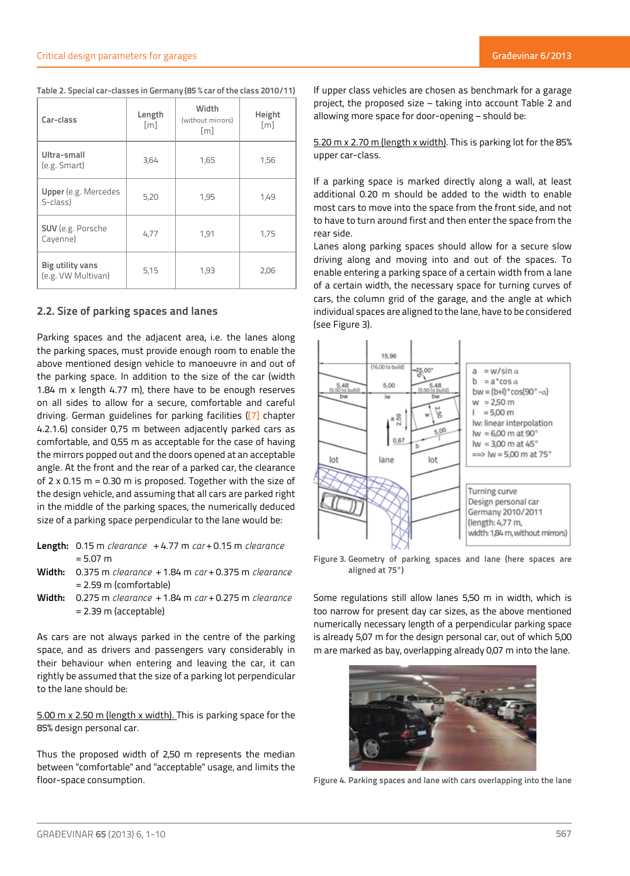|  | Table 2. Special car-classes in Germany (85 % car of the class 2010/11) |
|--|-------------------------------------------------------------------------|
|--|-------------------------------------------------------------------------|

| Car-class                              | Length<br>$\lceil m \rceil$ | Width<br>(without mirrors)<br>$\lceil m \rceil$ | Height<br>[m] |
|----------------------------------------|-----------------------------|-------------------------------------------------|---------------|
| Ultra-small<br>(e.g. Smart)            | 3,64                        | 1,65                                            | 1,56          |
| Upper (e.g. Mercedes<br>S-class)       | 5,20                        | 1,95                                            | 1,49          |
| SUV (e.g. Porsche<br>Cayenne)          | 4,77                        | 1,91                                            | 1,75          |
| Big utility vans<br>(e.g. VW Multivan) | 5,15                        | 1,93                                            | 2,06          |

## **2.2. Size of parking spaces and lanes**

Parking spaces and the adjacent area, i.e. the lanes along the parking spaces, must provide enough room to enable the above mentioned design vehicle to manoeuvre in and out of the parking space. In addition to the size of the car (width 1.84 m x length 4.77 m), there have to be enough reserves on all sides to allow for a secure, comfortable and careful driving. German guidelines for parking facilities ([7] chapter 4.2.1.6) consider 0,75 m between adjacently parked cars as comfortable, and 0,55 m as acceptable for the case of having the mirrors popped out and the doors opened at an acceptable angle. At the front and the rear of a parked car, the clearance of 2 x 0.15 m = 0.30 m is proposed. Together with the size of the design vehicle, and assuming that all cars are parked right in the middle of the parking spaces, the numerically deduced size of a parking space perpendicular to the lane would be:

- **Length:** 0.15 m *clearance* + 4.77 m *car* + 0.15 m *clearance*  $= 5.07 m$
- **Width:** 0.375 m *clearance* + 1.84 m *car* + 0.375 m *clearance* = 2.59 m (comfortable)
- **Width:** 0.275 m *clearance* + 1.84 m *car* + 0.275 m *clearance* = 2.39 m (acceptable)

As cars are not always parked in the centre of the parking space, and as drivers and passengers vary considerably in their behaviour when entering and leaving the car, it can rightly be assumed that the size of a parking lot perpendicular to the lane should be:

5.00 m x 2.50 m (length x width). This is parking space for the 85% design personal car.

Thus the proposed width of 2,50 m represents the median between "comfortable" and "acceptable" usage, and limits the floor-space consumption.

If upper class vehicles are chosen as benchmark for a garage project, the proposed size – taking into account Table 2 and allowing more space for door-opening – should be:

5.20 m x 2.70 m (length x width). This is parking lot for the 85% upper car-class.

If a parking space is marked directly along a wall, at least additional 0.20 m should be added to the width to enable most cars to move into the space from the front side, and not to have to turn around first and then enter the space from the rear side.

Lanes along parking spaces should allow for a secure slow driving along and moving into and out of the spaces. To enable entering a parking space of a certain width from a lane of a certain width, the necessary space for turning curves of cars, the column grid of the garage, and the angle at which individual spaces are aligned to the lane, have to be considered (see Figure 3).



**Figure 3. Geometry of parking spaces and lane (here spaces are aligned at 75°)**

Some regulations still allow lanes 5,50 m in width, which is too narrow for present day car sizes, as the above mentioned numerically necessary length of a perpendicular parking space is already 5,07 m for the design personal car, out of which 5,00 m are marked as bay, overlapping already 0,07 m into the lane.



**Figure 4. Parking spaces and lane with cars overlapping into the lane**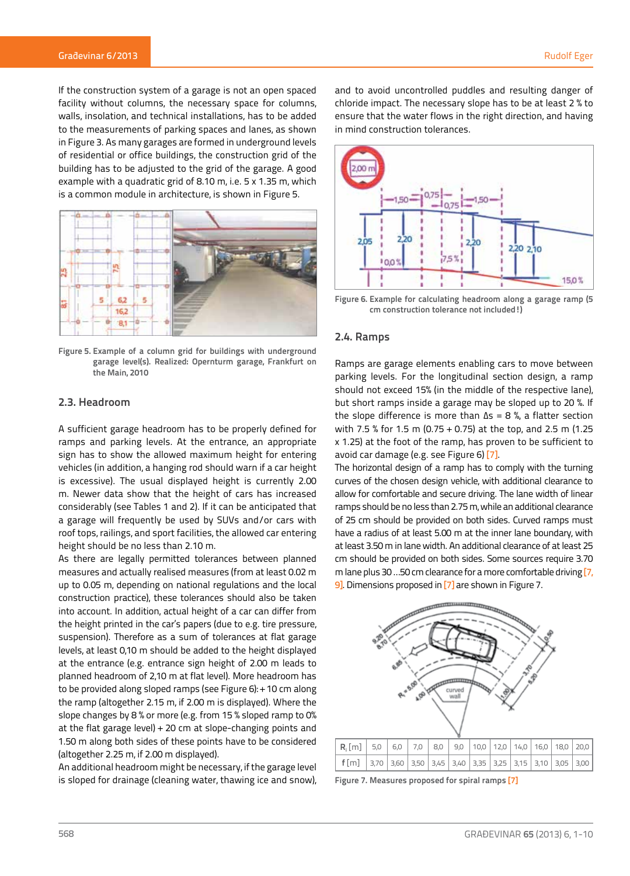If the construction system of a garage is not an open spaced facility without columns, the necessary space for columns, walls, insolation, and technical installations, has to be added to the measurements of parking spaces and lanes, as shown in Figure 3. As many garages are formed in underground levels of residential or office buildings, the construction grid of the building has to be adjusted to the grid of the garage. A good example with a quadratic grid of 8.10 m, i.e. 5 x 1.35 m, which is a common module in architecture, is shown in Figure 5.



**Figure 5. Example of a column grid for buildings with underground garage level(s). Realized: Opernturm garage, Frankfurt on the Main, 2010**

## **2.3. Headroom**

A sufficient garage headroom has to be properly defined for ramps and parking levels. At the entrance, an appropriate sign has to show the allowed maximum height for entering vehicles (in addition, a hanging rod should warn if a car height is excessive). The usual displayed height is currently 2.00 m. Newer data show that the height of cars has increased considerably (see Tables 1 and 2). If it can be anticipated that a garage will frequently be used by SUVs and/or cars with roof tops, railings, and sport facilities, the allowed car entering height should be no less than 2.10 m.

As there are legally permitted tolerances between planned measures and actually realised measures (from at least 0.02 m up to 0.05 m, depending on national regulations and the local construction practice), these tolerances should also be taken into account. In addition, actual height of a car can differ from the height printed in the car's papers (due to e.g. tire pressure, suspension). Therefore as a sum of tolerances at flat garage levels, at least 0,10 m should be added to the height displayed at the entrance (e.g. entrance sign height of 2.00 m leads to planned headroom of 2,10 m at flat level). More headroom has to be provided along sloped ramps (see Figure 6): + 10 cm along the ramp (altogether 2.15 m, if 2.00 m is displayed). Where the slope changes by 8 % or more (e.g. from 15 % sloped ramp to 0% at the flat garage level) + 20 cm at slope-changing points and 1.50 m along both sides of these points have to be considered (altogether 2.25 m, if 2.00 m displayed).

An additional headroom might be necessary, if the garage level is sloped for drainage (cleaning water, thawing ice and snow), and to avoid uncontrolled puddles and resulting danger of chloride impact. The necessary slope has to be at least 2 % to ensure that the water flows in the right direction, and having in mind construction tolerances.



**Figure 6. Example for calculating headroom along a garage ramp (5 cm construction tolerance not included!)**

## **2.4. Ramps**

Ramps are garage elements enabling cars to move between parking levels. For the longitudinal section design, a ramp should not exceed 15% (in the middle of the respective lane), but short ramps inside a garage may be sloped up to 20 %. If the slope difference is more than  $\Delta s = 8$  %, a flatter section with 7.5 % for 1.5 m (0.75 + 0.75) at the top, and 2.5 m (1.25 x 1.25) at the foot of the ramp, has proven to be sufficient to avoid car damage (e.g. see Figure 6) [7].

The horizontal design of a ramp has to comply with the turning curves of the chosen design vehicle, with additional clearance to allow for comfortable and secure driving. The lane width of linear ramps should be no less than 2.75 m, while an additional clearance of 25 cm should be provided on both sides. Curved ramps must have a radius of at least 5.00 m at the inner lane boundary, with at least 3.50 m in lane width. An additional clearance of at least 25 cm should be provided on both sides. Some sources require 3.70 m lane plus 30 …50 cm clearance for a more comfortable driving [7, 9]. Dimensions proposed in [7] are shown in Figure 7.



**Figure 7. Measures proposed for spiral ramps [7]**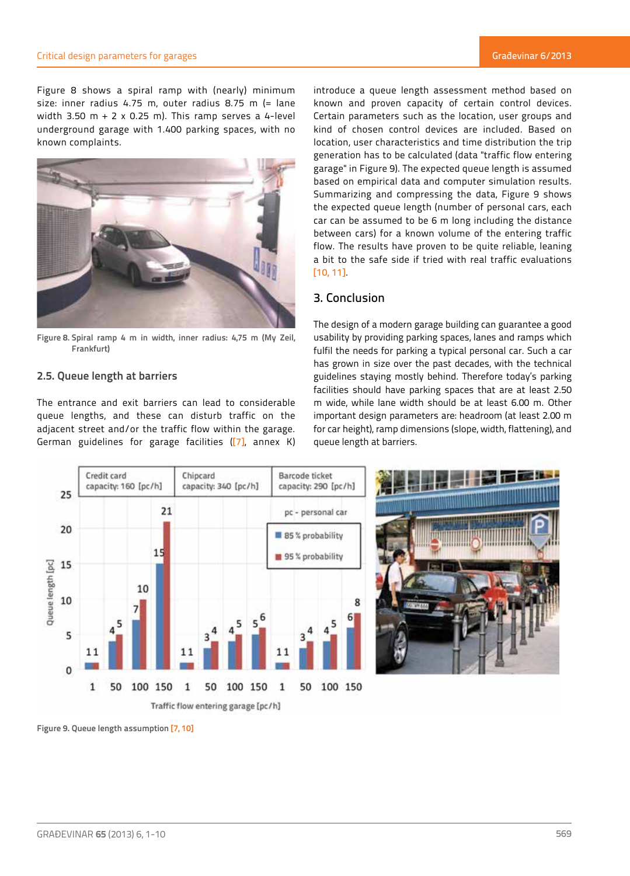Figure 8 shows a spiral ramp with (nearly) minimum size: inner radius 4.75 m, outer radius 8.75 m (= lane width 3.50 m + 2 x 0.25 m). This ramp serves a 4-level underground garage with 1.400 parking spaces, with no known complaints.



**Figure 8. Spiral ramp 4 m in width, inner radius: 4,75 m (My Zeil, Frankfurt)**

## **2.5. Queue length at barriers**

The entrance and exit barriers can lead to considerable queue lengths, and these can disturb traffic on the adjacent street and/or the traffic flow within the garage. German guidelines for garage facilities ([7], annex K)

introduce a queue length assessment method based on known and proven capacity of certain control devices. Certain parameters such as the location, user groups and kind of chosen control devices are included. Based on location, user characteristics and time distribution the trip generation has to be calculated (data "traffic flow entering garage" in Figure 9). The expected queue length is assumed based on empirical data and computer simulation results. Summarizing and compressing the data, Figure 9 shows the expected queue length (number of personal cars, each car can be assumed to be 6 m long including the distance between cars) for a known volume of the entering traffic flow. The results have proven to be quite reliable, leaning a bit to the safe side if tried with real traffic evaluations [10, 11].

# 3. Conclusion

The design of a modern garage building can guarantee a good usability by providing parking spaces, lanes and ramps which fulfil the needs for parking a typical personal car. Such a car has grown in size over the past decades, with the technical guidelines staying mostly behind. Therefore today's parking facilities should have parking spaces that are at least 2.50 m wide, while lane width should be at least 6.00 m. Other important design parameters are: headroom (at least 2.00 m for car height), ramp dimensions (slope, width, flattening), and queue length at barriers.





**Figure 9. Queue length assumption [7, 10]**